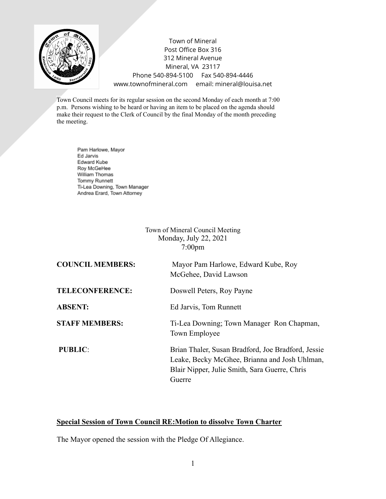

Town of Mineral Post Office Box 316 312 Mineral Avenue Mineral, VA 23117 Phone 540-894-5100 Fax 540-894-4446 www.townofmineral.com email: mineral@louisa.net

Town Council meets for its regular session on the second Monday of each month at 7:00 p.m. Persons wishing to be heard or having an item to be placed on the agenda should make their request to the Clerk of Council by the final Monday of the month preceding the meeting.

Pam Harlowe, Mayor Ed Jarvis Edward Kube Roy McGeHee William Thomas Tommy Runnett Ti-Lea Downing, Town Manager Andrea Erard, Town Attorney

> Town of Mineral Council Meeting Monday, July 22, 2021 7:00pm

| <b>COUNCIL MEMBERS:</b> | Mayor Pam Harlowe, Edward Kube, Roy<br>McGehee, David Lawson                                                                                                   |
|-------------------------|----------------------------------------------------------------------------------------------------------------------------------------------------------------|
| <b>TELECONFERENCE:</b>  | Doswell Peters, Roy Payne                                                                                                                                      |
| <b>ABSENT:</b>          | Ed Jarvis, Tom Runnett                                                                                                                                         |
| <b>STAFF MEMBERS:</b>   | Ti-Lea Downing; Town Manager Ron Chapman,<br>Town Employee                                                                                                     |
| <b>PUBLIC:</b>          | Brian Thaler, Susan Bradford, Joe Bradford, Jessie<br>Leake, Becky McGhee, Brianna and Josh Uhlman,<br>Blair Nipper, Julie Smith, Sara Guerre, Chris<br>Guerre |

## **Special Session of Town Council RE:Motion to dissolve Town Charter**

The Mayor opened the session with the Pledge Of Allegiance.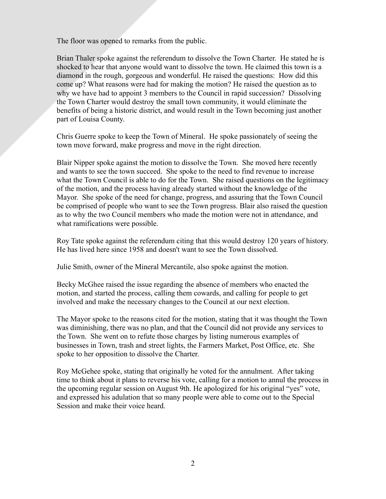The floor was opened to remarks from the public.

Brian Thaler spoke against the referendum to dissolve the Town Charter. He stated he is shocked to hear that anyone would want to dissolve the town. He claimed this town is a diamond in the rough, gorgeous and wonderful. He raised the questions: How did this come up? What reasons were had for making the motion? He raised the question as to why we have had to appoint 3 members to the Council in rapid succession? Dissolving the Town Charter would destroy the small town community, it would eliminate the benefits of being a historic district, and would result in the Town becoming just another part of Louisa County.

Chris Guerre spoke to keep the Town of Mineral. He spoke passionately of seeing the town move forward, make progress and move in the right direction.

Blair Nipper spoke against the motion to dissolve the Town. She moved here recently and wants to see the town succeed. She spoke to the need to find revenue to increase what the Town Council is able to do for the Town. She raised questions on the legitimacy of the motion, and the process having already started without the knowledge of the Mayor. She spoke of the need for change, progress, and assuring that the Town Council be comprised of people who want to see the Town progress. Blair also raised the question as to why the two Council members who made the motion were not in attendance, and what ramifications were possible.

Roy Tate spoke against the referendum citing that this would destroy 120 years of history. He has lived here since 1958 and doesn't want to see the Town dissolved.

Julie Smith, owner of the Mineral Mercantile, also spoke against the motion.

Becky McGhee raised the issue regarding the absence of members who enacted the motion, and started the process, calling them cowards, and calling for people to get involved and make the necessary changes to the Council at our next election.

The Mayor spoke to the reasons cited for the motion, stating that it was thought the Town was diminishing, there was no plan, and that the Council did not provide any services to the Town. She went on to refute those charges by listing numerous examples of businesses in Town, trash and street lights, the Farmers Market, Post Office, etc. She spoke to her opposition to dissolve the Charter.

Roy McGehee spoke, stating that originally he voted for the annulment. After taking time to think about it plans to reverse his vote, calling for a motion to annul the process in the upcoming regular session on August 9th. He apologized for his original "yes" vote, and expressed his adulation that so many people were able to come out to the Special Session and make their voice heard.